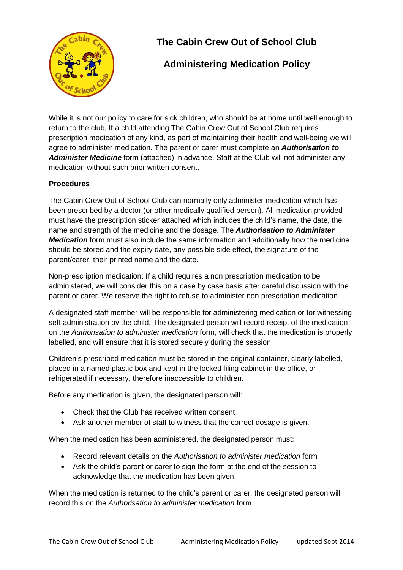

# **The Cabin Crew Out of School Club**

## **Administering Medication Policy**

While it is not our policy to care for sick children, who should be at home until well enough to return to the club, If a child attending The Cabin Crew Out of School Club requires prescription medication of any kind, as part of maintaining their health and well-being we will agree to administer medication. The parent or carer must complete an *Authorisation to Administer Medicine* form (attached) in advance. Staff at the Club will not administer any medication without such prior written consent.

### **Procedures**

The Cabin Crew Out of School Club can normally only administer medication which has been prescribed by a doctor (or other medically qualified person). All medication provided must have the prescription sticker attached which includes the child's name, the date, the name and strength of the medicine and the dosage. The *Authorisation to Administer Medication* form must also include the same information and additionally how the medicine should be stored and the expiry date, any possible side effect, the signature of the parent/carer, their printed name and the date.

Non-prescription medication: If a child requires a non prescription medication to be administered, we will consider this on a case by case basis after careful discussion with the parent or carer. We reserve the right to refuse to administer non prescription medication.

A designated staff member will be responsible for administering medication or for witnessing self-administration by the child. The designated person will record receipt of the medication on the *Authorisation to administer medication* form, will check that the medication is properly labelled, and will ensure that it is stored securely during the session.

Children's prescribed medication must be stored in the original container, clearly labelled, placed in a named plastic box and kept in the locked filing cabinet in the office, or refrigerated if necessary, therefore inaccessible to children.

Before any medication is given, the designated person will:

- Check that the Club has received written consent
- Ask another member of staff to witness that the correct dosage is given.

When the medication has been administered, the designated person must:

- Record relevant details on the *Authorisation to administer medication* form
- Ask the child's parent or carer to sign the form at the end of the session to acknowledge that the medication has been given.

When the medication is returned to the child's parent or carer, the designated person will record this on the *Authorisation to administer medication* form.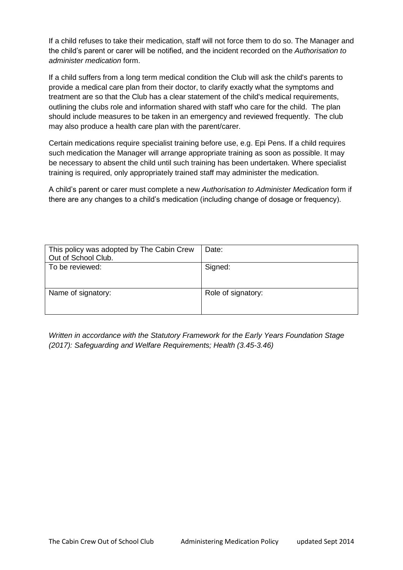If a child refuses to take their medication, staff will not force them to do so. The Manager and the child's parent or carer will be notified, and the incident recorded on the *Authorisation to administer medication* form.

If a child suffers from a long term medical condition the Club will ask the child's parents to provide a medical care plan from their doctor, to clarify exactly what the symptoms and treatment are so that the Club has a clear statement of the child's medical requirements, outlining the clubs role and information shared with staff who care for the child. The plan should include measures to be taken in an emergency and reviewed frequently. The club may also produce a health care plan with the parent/carer.

Certain medications require specialist training before use, e.g. Epi Pens. If a child requires such medication the Manager will arrange appropriate training as soon as possible. It may be necessary to absent the child until such training has been undertaken. Where specialist training is required, only appropriately trained staff may administer the medication.

A child's parent or carer must complete a new *Authorisation to Administer Medication* form if there are any changes to a child's medication (including change of dosage or frequency).

| This policy was adopted by The Cabin Crew<br>Out of School Club. | Date:              |
|------------------------------------------------------------------|--------------------|
| To be reviewed:                                                  | Signed:            |
| Name of signatory:                                               | Role of signatory: |

*Written in accordance with the Statutory Framework for the Early Years Foundation Stage (2017): Safeguarding and Welfare Requirements; Health (3.45-3.46)*